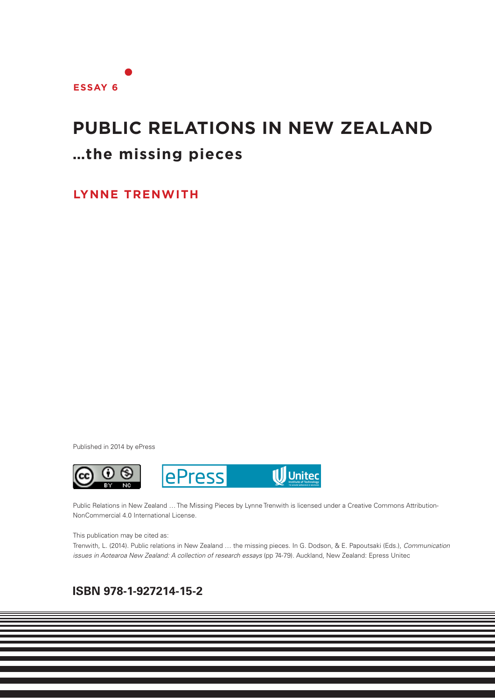# **PUBLIC RELATIONS IN NEW ZEALAND …the missing pieces**

**LYNNE TRENWITH**

Published in 2014 by ePress



Public Relations in New Zealand … The Missing Pieces by Lynne Trenwith is licensed under a Creative Commons Attribution-NonCommercial 4.0 International License.

This publication may be cited as:

Trenwith, L. (2014). Public relations in New Zealand … the missing pieces. In G. Dodson, & E. Papoutsaki (Eds.), *Communication issues in Aotearoa New Zealand: A collection of research essays* (pp 74-79). Auckland, New Zealand: Epress Unitec

**1**

## **ISBN 978-1-927214-15-2**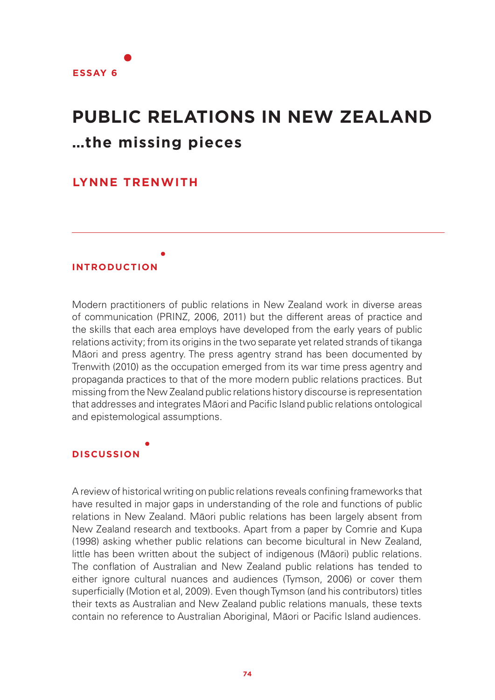

# **PUBLIC RELATIONS IN NEW ZEALAND …the missing pieces**

## **LYNNE TRENWITH**

### **INTRODUCTION**

Modern practitioners of public relations in New Zealand work in diverse areas of communication (PRINZ, 2006, 2011) but the different areas of practice and the skills that each area employs have developed from the early years of public relations activity; from its origins in the two separate yet related strands of tikanga Māori and press agentry. The press agentry strand has been documented by Trenwith (2010) as the occupation emerged from its war time press agentry and propaganda practices to that of the more modern public relations practices. But missing from the New Zealand public relations history discourse is representation that addresses and integrates Māori and Pacific Island public relations ontological and epistemological assumptions.

## **DISCUSSION**

A review of historical writing on public relations reveals confining frameworks that have resulted in major gaps in understanding of the role and functions of public relations in New Zealand. Māori public relations has been largely absent from New Zealand research and textbooks. Apart from a paper by Comrie and Kupa (1998) asking whether public relations can become bicultural in New Zealand, little has been written about the subject of indigenous (Māori) public relations. The conflation of Australian and New Zealand public relations has tended to either ignore cultural nuances and audiences (Tymson, 2006) or cover them superficially (Motion et al, 2009). Even though Tymson (and his contributors) titles their texts as Australian and New Zealand public relations manuals, these texts contain no reference to Australian Aboriginal, Māori or Pacific Island audiences.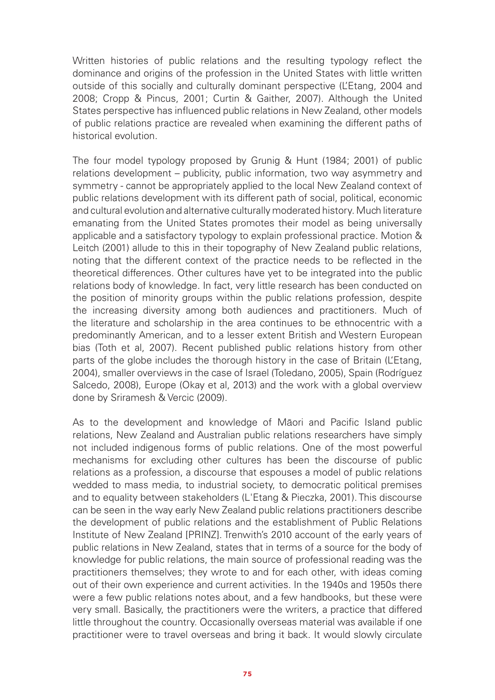Written histories of public relations and the resulting typology reflect the dominance and origins of the profession in the United States with little written outside of this socially and culturally dominant perspective (L'Etang, 2004 and 2008; Cropp & Pincus, 2001; Curtin & Gaither, 2007). Although the United States perspective has influenced public relations in New Zealand, other models of public relations practice are revealed when examining the different paths of historical evolution.

The four model typology proposed by Grunig & Hunt (1984; 2001) of public relations development – publicity, public information, two way asymmetry and symmetry - cannot be appropriately applied to the local New Zealand context of public relations development with its different path of social, political, economic and cultural evolution and alternative culturally moderated history. Much literature emanating from the United States promotes their model as being universally applicable and a satisfactory typology to explain professional practice. Motion & Leitch (2001) allude to this in their topography of New Zealand public relations, noting that the different context of the practice needs to be reflected in the theoretical differences. Other cultures have yet to be integrated into the public relations body of knowledge. In fact, very little research has been conducted on the position of minority groups within the public relations profession, despite the increasing diversity among both audiences and practitioners. Much of the literature and scholarship in the area continues to be ethnocentric with a predominantly American, and to a lesser extent British and Western European bias (Toth et al, 2007). Recent published public relations history from other parts of the globe includes the thorough history in the case of Britain (L'Etang, 2004), smaller overviews in the case of Israel (Toledano, 2005), Spain (Rodríguez Salcedo, 2008), Europe (Okay et al, 2013) and the work with a global overview done by Sriramesh & Vercic (2009).

As to the development and knowledge of Māori and Pacific Island public relations, New Zealand and Australian public relations researchers have simply not included indigenous forms of public relations. One of the most powerful mechanisms for excluding other cultures has been the discourse of public relations as a profession, a discourse that espouses a model of public relations wedded to mass media, to industrial society, to democratic political premises and to equality between stakeholders (L'Etang & Pieczka, 2001). This discourse can be seen in the way early New Zealand public relations practitioners describe the development of public relations and the establishment of Public Relations Institute of New Zealand [PRINZ]. Trenwith's 2010 account of the early years of public relations in New Zealand, states that in terms of a source for the body of knowledge for public relations, the main source of professional reading was the practitioners themselves; they wrote to and for each other, with ideas coming out of their own experience and current activities. In the 1940s and 1950s there were a few public relations notes about, and a few handbooks, but these were very small. Basically, the practitioners were the writers, a practice that differed little throughout the country. Occasionally overseas material was available if one practitioner were to travel overseas and bring it back. It would slowly circulate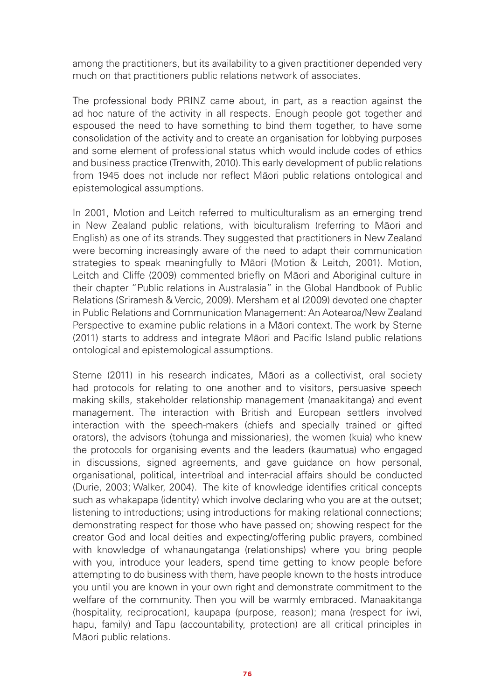among the practitioners, but its availability to a given practitioner depended very much on that practitioners public relations network of associates.

The professional body PRINZ came about, in part, as a reaction against the ad hoc nature of the activity in all respects. Enough people got together and espoused the need to have something to bind them together, to have some consolidation of the activity and to create an organisation for lobbying purposes and some element of professional status which would include codes of ethics and business practice (Trenwith, 2010). This early development of public relations from 1945 does not include nor reflect Māori public relations ontological and epistemological assumptions.

In 2001, Motion and Leitch referred to multiculturalism as an emerging trend in New Zealand public relations, with biculturalism (referring to Māori and English) as one of its strands. They suggested that practitioners in New Zealand were becoming increasingly aware of the need to adapt their communication strategies to speak meaningfully to Māori (Motion & Leitch, 2001). Motion, Leitch and Cliffe (2009) commented briefly on Māori and Aboriginal culture in their chapter "Public relations in Australasia" in the Global Handbook of Public Relations (Sriramesh & Vercic, 2009). Mersham et al (2009) devoted one chapter in Public Relations and Communication Management: An Aotearoa/New Zealand Perspective to examine public relations in a Māori context. The work by Sterne (2011) starts to address and integrate Māori and Pacific Island public relations ontological and epistemological assumptions.

Sterne (2011) in his research indicates, Māori as a collectivist, oral society had protocols for relating to one another and to visitors, persuasive speech making skills, stakeholder relationship management (manaakitanga) and event management. The interaction with British and European settlers involved interaction with the speech-makers (chiefs and specially trained or gifted orators), the advisors (tohunga and missionaries), the women (kuia) who knew the protocols for organising events and the leaders (kaumatua) who engaged in discussions, signed agreements, and gave guidance on how personal, organisational, political, inter-tribal and inter-racial affairs should be conducted (Durie, 2003; Walker, 2004). The kite of knowledge identifies critical concepts such as whakapapa (identity) which involve declaring who you are at the outset; listening to introductions; using introductions for making relational connections; demonstrating respect for those who have passed on; showing respect for the creator God and local deities and expecting/offering public prayers, combined with knowledge of whanaungatanga (relationships) where you bring people with you, introduce your leaders, spend time getting to know people before attempting to do business with them, have people known to the hosts introduce you until you are known in your own right and demonstrate commitment to the welfare of the community. Then you will be warmly embraced. Manaakitanga (hospitality, reciprocation), kaupapa (purpose, reason); mana (respect for iwi, hapu, family) and Tapu (accountability, protection) are all critical principles in Māori public relations.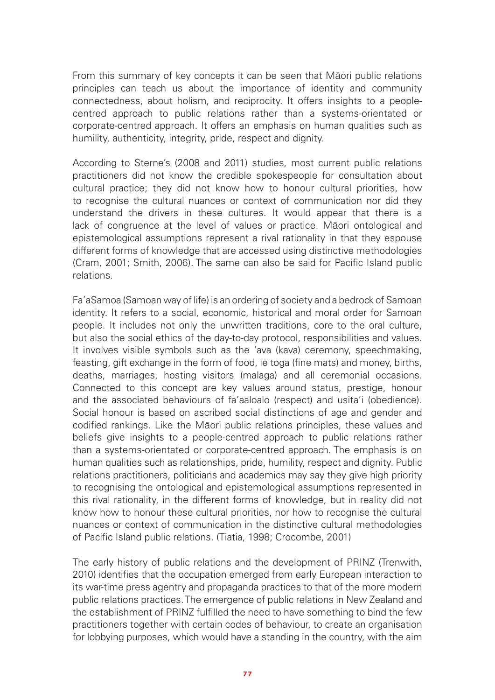From this summary of key concepts it can be seen that Māori public relations principles can teach us about the importance of identity and community connectedness, about holism, and reciprocity. It offers insights to a peoplecentred approach to public relations rather than a systems-orientated or corporate-centred approach. It offers an emphasis on human qualities such as humility, authenticity, integrity, pride, respect and dignity.

According to Sterne's (2008 and 2011) studies, most current public relations practitioners did not know the credible spokespeople for consultation about cultural practice; they did not know how to honour cultural priorities, how to recognise the cultural nuances or context of communication nor did they understand the drivers in these cultures. It would appear that there is a lack of congruence at the level of values or practice. Māori ontological and epistemological assumptions represent a rival rationality in that they espouse different forms of knowledge that are accessed using distinctive methodologies (Cram, 2001; Smith, 2006). The same can also be said for Pacific Island public relations.

Fa'aSamoa (Samoan way of life) is an ordering of society and a bedrock of Samoan identity. It refers to a social, economic, historical and moral order for Samoan people. It includes not only the unwritten traditions, core to the oral culture, but also the social ethics of the day-to-day protocol, responsibilities and values. It involves visible symbols such as the 'ava (kava) ceremony, speechmaking, feasting, gift exchange in the form of food, ie toga (fine mats) and money, births, deaths, marriages, hosting visitors (malaga) and all ceremonial occasions. Connected to this concept are key values around status, prestige, honour and the associated behaviours of fa'aaloalo (respect) and usita'i (obedience). Social honour is based on ascribed social distinctions of age and gender and codified rankings. Like the Māori public relations principles, these values and beliefs give insights to a people-centred approach to public relations rather than a systems-orientated or corporate-centred approach. The emphasis is on human qualities such as relationships, pride, humility, respect and dignity. Public relations practitioners, politicians and academics may say they give high priority to recognising the ontological and epistemological assumptions represented in this rival rationality, in the different forms of knowledge, but in reality did not know how to honour these cultural priorities, nor how to recognise the cultural nuances or context of communication in the distinctive cultural methodologies of Pacific Island public relations. (Tiatia, 1998; Crocombe, 2001)

The early history of public relations and the development of PRINZ (Trenwith, 2010) identifies that the occupation emerged from early European interaction to its war-time press agentry and propaganda practices to that of the more modern public relations practices. The emergence of public relations in New Zealand and the establishment of PRINZ fulfilled the need to have something to bind the few practitioners together with certain codes of behaviour, to create an organisation for lobbying purposes, which would have a standing in the country, with the aim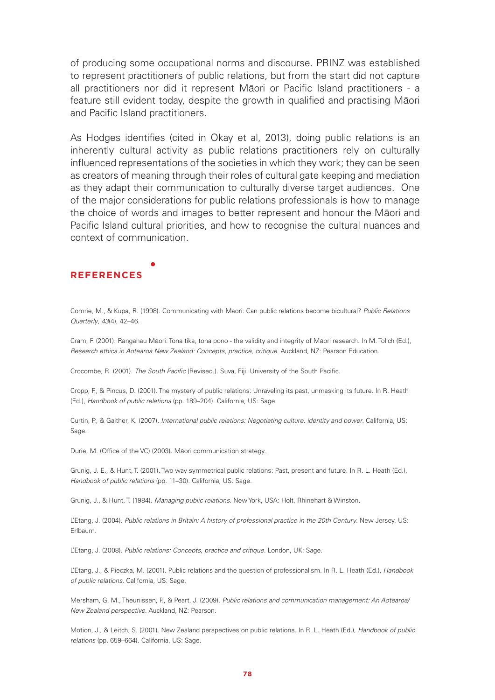of producing some occupational norms and discourse. PRINZ was established to represent practitioners of public relations, but from the start did not capture all practitioners nor did it represent Māori or Pacific Island practitioners - a feature still evident today, despite the growth in qualified and practising Māori and Pacific Island practitioners.

As Hodges identifies (cited in Okay et al, 2013), doing public relations is an inherently cultural activity as public relations practitioners rely on culturally influenced representations of the societies in which they work; they can be seen as creators of meaning through their roles of cultural gate keeping and mediation as they adapt their communication to culturally diverse target audiences. One of the major considerations for public relations professionals is how to manage the choice of words and images to better represent and honour the Māori and Pacific Island cultural priorities, and how to recognise the cultural nuances and context of communication.

#### **REFERENCES**

Comrie, M., & Kupa, R. (1998). Communicating with Maori: Can public relations become bicultural? *Public Relations Quarterly*, *43*(4), 42–46.

Cram, F. (2001). Rangahau Māori: Tona tika, tona pono - the validity and integrity of Māori research. In M. Tolich (Ed.), *Research ethics in Aotearoa New Zealand: Concepts, practice, critique*. Auckland, NZ: Pearson Education.

Crocombe, R. (2001). *The South Pacific* (Revised.). Suva, Fiji: University of the South Pacific.

Cropp, F., & Pincus, D. (2001). The mystery of public relations: Unraveling its past, unmasking its future. In R. Heath (Ed.), *Handbook of public relations* (pp. 189–204). California, US: Sage.

Curtin, P., & Gaither, K. (2007). *International public relations: Negotiating culture, identity and power*. California, US: Sage.

Durie, M. (Office of the VC) (2003). Māori communication strategy.

Grunig, J. E., & Hunt, T. (2001). Two way symmetrical public relations: Past, present and future. In R. L. Heath (Ed.), *Handbook of public relations* (pp. 11–30). California, US: Sage.

Grunig, J., & Hunt, T. (1984). *Managing public relations*. New York, USA: Holt, Rhinehart & Winston.

L'Etang, J. (2004). *Public relations in Britain: A history of professional practice in the 20th Century*. New Jersey, US: Erlbaum.

L'Etang, J. (2008). *Public relations: Concepts, practice and critique*. London, UK: Sage.

L'Etang, J., & Pieczka, M. (2001). Public relations and the question of professionalism. In R. L. Heath (Ed.), *Handbook of public relations*. California, US: Sage.

Mersham, G. M., Theunissen, P., & Peart, J. (2009). *Public relations and communication management: An Aotearoa/ New Zealand perspective*. Auckland, NZ: Pearson.

Motion, J., & Leitch, S. (2001). New Zealand perspectives on public relations. In R. L. Heath (Ed.), *Handbook of public relations* (pp. 659–664). California, US: Sage.